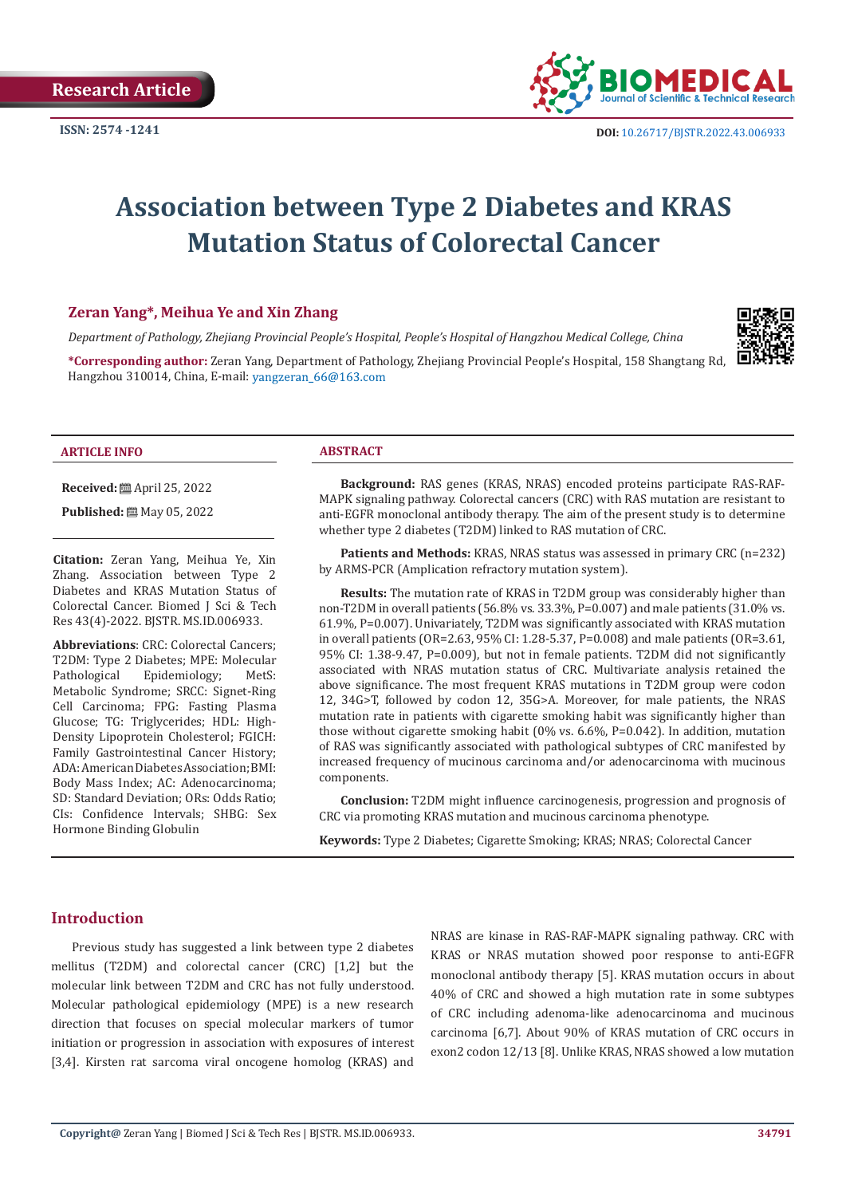

# **Association between Type 2 Diabetes and KRAS Mutation Status of Colorectal Cancer**

# **Zeran Yang\*, Meihua Ye and Xin Zhang**

*Department of Pathology, Zhejiang Provincial People's Hospital, People's Hospital of Hangzhou Medical College, China*

**\*Corresponding author:** Zeran Yang, Department of Pathology, Zhejiang Provincial People's Hospital, 158 Shangtang Rd, Hangzhou 310014, China, E-mail: yangzeran\_66@163.com



#### **ARTICLE INFO ABSTRACT**

**Received:** April 25, 2022

**Published:** 圖 May 05, 2022

**Citation:** Zeran Yang, Meihua Ye, Xin Zhang. Association between Type 2 Diabetes and KRAS Mutation Status of Colorectal Cancer. Biomed J Sci & Tech Res 43(4)-2022. BJSTR. MS.ID.006933.

**Abbreviations**: CRC: Colorectal Cancers; T2DM: Type 2 Diabetes; MPE: Molecular<br>Pathological Epidemiology; MetS: Epidemiology; Metabolic Syndrome; SRCC: Signet-Ring Cell Carcinoma; FPG: Fasting Plasma Glucose; TG: Triglycerides; HDL: High-Density Lipoprotein Cholesterol; FGICH: Family Gastrointestinal Cancer History; ADA: American Diabetes Association; BMI: Body Mass Index; AC: Adenocarcinoma; SD: Standard Deviation; ORs: Odds Ratio; CIs: Confidence Intervals; SHBG: Sex Hormone Binding Globulin

**Background:** RAS genes (KRAS, NRAS) encoded proteins participate RAS-RAF-MAPK signaling pathway. Colorectal cancers (CRC) with RAS mutation are resistant to anti-EGFR monoclonal antibody therapy. The aim of the present study is to determine whether type 2 diabetes (T2DM) linked to RAS mutation of CRC.

**Patients and Methods:** KRAS, NRAS status was assessed in primary CRC (n=232) by ARMS-PCR (Amplication refractory mutation system).

**Results:** The mutation rate of KRAS in T2DM group was considerably higher than non-T2DM in overall patients (56.8% vs. 33.3%, P=0.007) and male patients (31.0% vs. 61.9%, P=0.007). Univariately, T2DM was significantly associated with KRAS mutation in overall patients (OR=2.63, 95% CI: 1.28-5.37, P=0.008) and male patients (OR=3.61, 95% CI: 1.38-9.47, P=0.009), but not in female patients. T2DM did not significantly associated with NRAS mutation status of CRC. Multivariate analysis retained the above significance. The most frequent KRAS mutations in T2DM group were codon 12, 34G>T, followed by codon 12, 35G>A. Moreover, for male patients, the NRAS mutation rate in patients with cigarette smoking habit was significantly higher than those without cigarette smoking habit (0% vs. 6.6%, P=0.042). In addition, mutation of RAS was significantly associated with pathological subtypes of CRC manifested by increased frequency of mucinous carcinoma and/or adenocarcinoma with mucinous components.

**Conclusion:** T2DM might influence carcinogenesis, progression and prognosis of CRC via promoting KRAS mutation and mucinous carcinoma phenotype.

**Keywords:** Type 2 Diabetes; Cigarette Smoking; KRAS; NRAS; Colorectal Cancer

# **Introduction**

Previous study has suggested a link between type 2 diabetes mellitus (T2DM) and colorectal cancer (CRC) [1,2] but the molecular link between T2DM and CRC has not fully understood. Molecular pathological epidemiology (MPE) is a new research direction that focuses on special molecular markers of tumor initiation or progression in association with exposures of interest [3,4]. Kirsten rat sarcoma viral oncogene homolog (KRAS) and

NRAS are kinase in RAS-RAF-MAPK signaling pathway. CRC with KRAS or NRAS mutation showed poor response to anti-EGFR monoclonal antibody therapy [5]. KRAS mutation occurs in about 40% of CRC and showed a high mutation rate in some subtypes of CRC including adenoma-like adenocarcinoma and mucinous carcinoma [6,7]. About 90% of KRAS mutation of CRC occurs in exon2 codon 12/13 [8]. Unlike KRAS, NRAS showed a low mutation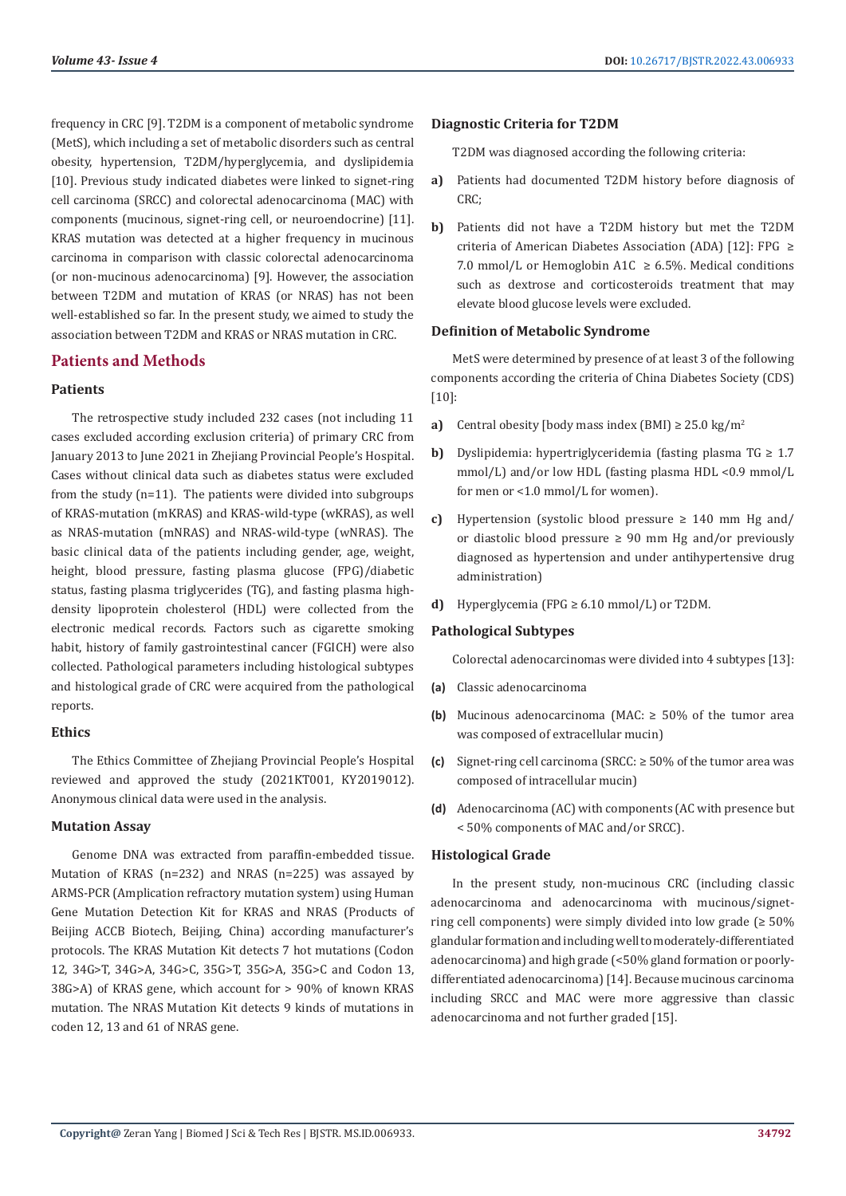frequency in CRC [9]. T2DM is a component of metabolic syndrome (MetS), which including a set of metabolic disorders such as central obesity, hypertension, T2DM/hyperglycemia, and dyslipidemia [10]. Previous study indicated diabetes were linked to signet-ring cell carcinoma (SRCC) and colorectal adenocarcinoma (MAC) with components (mucinous, signet-ring cell, or neuroendocrine) [11]. KRAS mutation was detected at a higher frequency in mucinous carcinoma in comparison with classic colorectal adenocarcinoma (or non-mucinous adenocarcinoma) [9]. However, the association between T2DM and mutation of KRAS (or NRAS) has not been well-established so far. In the present study, we aimed to study the association between T2DM and KRAS or NRAS mutation in CRC.

# **Patients and Methods**

# **Patients**

The retrospective study included 232 cases (not including 11 cases excluded according exclusion criteria) of primary CRC from January 2013 to June 2021 in Zhejiang Provincial People's Hospital. Cases without clinical data such as diabetes status were excluded from the study (n=11). The patients were divided into subgroups of KRAS-mutation (mKRAS) and KRAS-wild-type (wKRAS), as well as NRAS-mutation (mNRAS) and NRAS-wild-type (wNRAS). The basic clinical data of the patients including gender, age, weight, height, blood pressure, fasting plasma glucose (FPG)/diabetic status, fasting plasma triglycerides (TG), and fasting plasma highdensity lipoprotein cholesterol (HDL) were collected from the electronic medical records. Factors such as cigarette smoking habit, history of family gastrointestinal cancer (FGICH) were also collected. Pathological parameters including histological subtypes and histological grade of CRC were acquired from the pathological reports.

#### **Ethics**

The Ethics Committee of Zhejiang Provincial People's Hospital reviewed and approved the study (2021KT001, KY2019012). Anonymous clinical data were used in the analysis.

### **Mutation Assay**

Genome DNA was extracted from paraffin-embedded tissue. Mutation of KRAS (n=232) and NRAS (n=225) was assayed by ARMS-PCR (Amplication refractory mutation system) using Human Gene Mutation Detection Kit for KRAS and NRAS (Products of Beijing ACCB Biotech, Beijing, China) according manufacturer's protocols. The KRAS Mutation Kit detects 7 hot mutations (Codon 12, 34G>T, 34G>A, 34G>C, 35G>T, 35G>A, 35G>C and Codon 13, 38G>A) of KRAS gene, which account for > 90% of known KRAS mutation. The NRAS Mutation Kit detects 9 kinds of mutations in coden 12, 13 and 61 of NRAS gene.

# **Diagnostic Criteria for T2DM**

T2DM was diagnosed according the following criteria:

- **a)** Patients had documented T2DM history before diagnosis of CRC;
- **b)** Patients did not have a T2DM history but met the T2DM criteria of American Diabetes Association (ADA) [12]: FPG ≥ 7.0 mmol/L or Hemoglobin A1C  $\geq$  6.5%. Medical conditions such as dextrose and corticosteroids treatment that may elevate blood glucose levels were excluded.

# **Definition of Metabolic Syndrome**

MetS were determined by presence of at least 3 of the following components according the criteria of China Diabetes Society (CDS) [10]:

- **a)** Central obesity [body mass index  $(BMI) \ge 25.0 \text{ kg/m}^2$
- **b)** Dyslipidemia: hypertriglyceridemia (fasting plasma  $TG \ge 1.7$ mmol/L) and/or low HDL (fasting plasma HDL <0.9 mmol/L for men or <1.0 mmol/L for women).
- **c)** Hypertension (systolic blood pressure  $\geq 140$  mm Hg and/ or diastolic blood pressure  $\geq 90$  mm Hg and/or previously diagnosed as hypertension and under antihypertensive drug administration)
- **d)** Hyperglycemia (FPG  $\geq 6.10$  mmol/L) or T2DM.

#### **Pathological Subtypes**

Colorectal adenocarcinomas were divided into 4 subtypes [13]:

- **(a)** Classic adenocarcinoma
- **(b)** Mucinous adenocarcinoma (MAC: ≥ 50% of the tumor area was composed of extracellular mucin)
- **(c)** Signet-ring cell carcinoma (SRCC: ≥ 50% of the tumor area was composed of intracellular mucin)
- **(d)** Adenocarcinoma (AC) with components (AC with presence but < 50% components of MAC and/or SRCC).

#### **Histological Grade**

In the present study, non-mucinous CRC (including classic adenocarcinoma and adenocarcinoma with mucinous/signetring cell components) were simply divided into low grade ( $\geq 50\%$ ) glandular formation and including well to moderately-differentiated adenocarcinoma) and high grade (<50% gland formation or poorlydifferentiated adenocarcinoma) [14]. Because mucinous carcinoma including SRCC and MAC were more aggressive than classic adenocarcinoma and not further graded [15].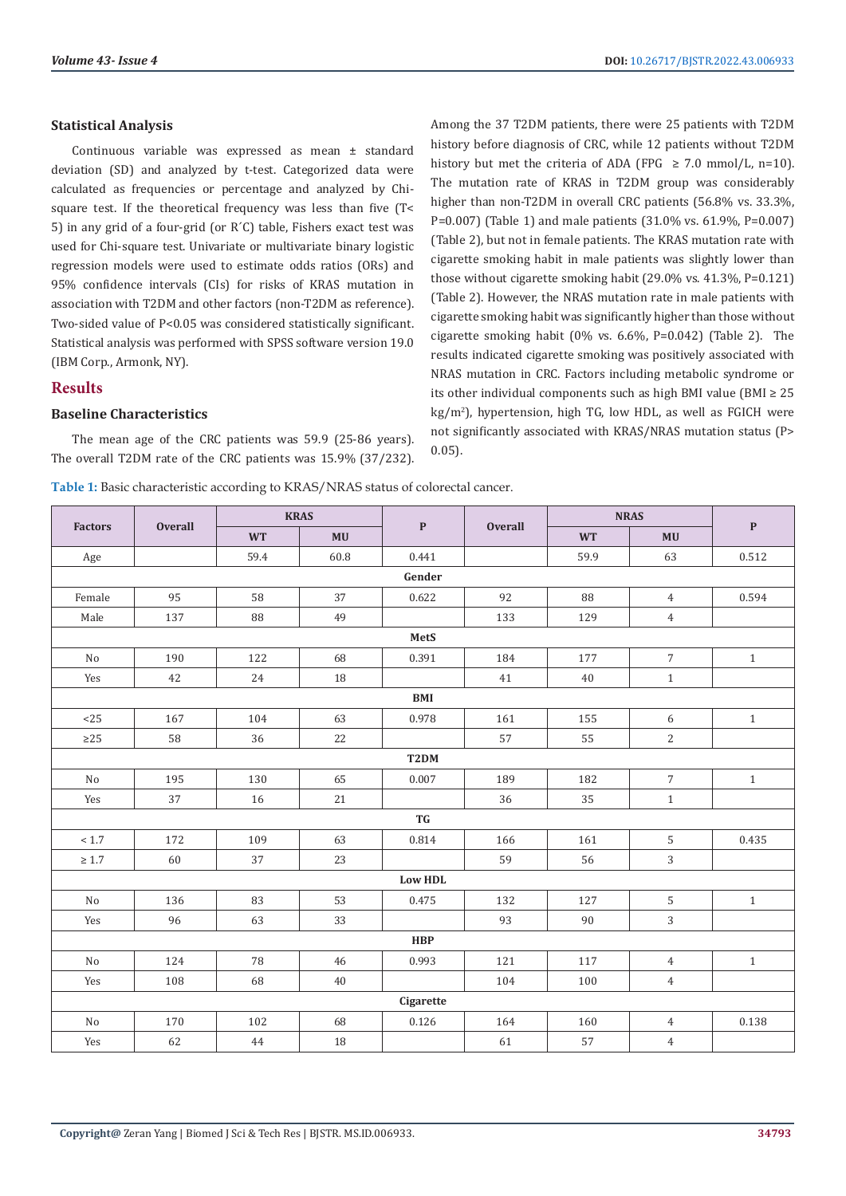# **Statistical Analysis**

Continuous variable was expressed as mean ± standard deviation (SD) and analyzed by t-test. Categorized data were calculated as frequencies or percentage and analyzed by Chisquare test. If the theoretical frequency was less than five (T< 5) in any grid of a four-grid (or R´C) table, Fishers exact test was used for Chi-square test. Univariate or multivariate binary logistic regression models were used to estimate odds ratios (ORs) and 95% confidence intervals (CIs) for risks of KRAS mutation in association with T2DM and other factors (non-T2DM as reference). Two-sided value of P<0.05 was considered statistically significant. Statistical analysis was performed with SPSS software version 19.0 (IBM Corp., Armonk, NY).

# **Results**

# **Baseline Characteristics**

The mean age of the CRC patients was 59.9 (25-86 years). The overall T2DM rate of the CRC patients was 15.9% (37/232).

**Table 1:** Basic characteristic according to KRAS/NRAS status of colorectal cancer.

Among the 37 T2DM patients, there were 25 patients with T2DM history before diagnosis of CRC, while 12 patients without T2DM history but met the criteria of ADA (FPG  $\geq$  7.0 mmol/L, n=10). The mutation rate of KRAS in T2DM group was considerably higher than non-T2DM in overall CRC patients (56.8% vs. 33.3%, P=0.007) (Table 1) and male patients (31.0% vs. 61.9%, P=0.007) (Table 2), but not in female patients. The KRAS mutation rate with cigarette smoking habit in male patients was slightly lower than those without cigarette smoking habit (29.0% vs. 41.3%, P=0.121) (Table 2). However, the NRAS mutation rate in male patients with cigarette smoking habit was significantly higher than those without cigarette smoking habit (0% vs. 6.6%, P=0.042) (Table 2). The results indicated cigarette smoking was positively associated with NRAS mutation in CRC. Factors including metabolic syndrome or its other individual components such as high BMI value (BMI ≥ 25 kg/m<sup>2</sup> ), hypertension, high TG, low HDL, as well as FGICH were not significantly associated with KRAS/NRAS mutation status (P> 0.05).

| <b>Factors</b> | <b>Overall</b> |            | <b>KRAS</b>                | $\mathbf P$<br><b>Overall</b> |     | <b>NRAS</b> |                  |              |  |
|----------------|----------------|------------|----------------------------|-------------------------------|-----|-------------|------------------|--------------|--|
|                |                | <b>WT</b>  | $\boldsymbol{\mathrm{MU}}$ |                               |     | <b>WT</b>   | MU               | $\mathbf P$  |  |
| Age            |                | 59.4       | 60.8                       | 0.441                         |     | 59.9        | 63               | 0.512        |  |
|                |                |            |                            | Gender                        |     |             |                  |              |  |
| Female         | 95             | 58         | 37                         | 0.622                         | 92  | 88          | $\overline{4}$   | 0.594        |  |
| Male           | 137            | ${\bf 88}$ | 49                         |                               | 133 | 129         | $\ensuremath{4}$ |              |  |
| MetS           |                |            |                            |                               |     |             |                  |              |  |
| No             | 190            | 122        | 68                         | 0.391                         | 184 | 177         | $\overline{7}$   | $\mathbf{1}$ |  |
| Yes            | 42             | 24         | 18                         |                               | 41  | 40          | $\,1\,$          |              |  |
| $\mathbf{BMI}$ |                |            |                            |                               |     |             |                  |              |  |
| <25            | 167            | 104        | 63                         | 0.978                         | 161 | 155         | 6                | $\,1\,$      |  |
| $\geq$ 25      | 58             | 36         | 22                         |                               | 57  | 55          | $\overline{c}$   |              |  |
|                |                |            |                            | T2DM                          |     |             |                  |              |  |
| No             | 195            | 130        | 65                         | 0.007                         | 189 | 182         | $\overline{7}$   | $\,1\,$      |  |
| Yes            | 37             | 16         | 21                         |                               | 36  | 35          | $1\,$            |              |  |
|                |                |            |                            | $\mathbf{T}\mathbf{G}$        |     |             |                  |              |  |
| $<1.7\,$       | 172            | 109        | 63                         | 0.814                         | 166 | 161         | 5                | 0.435        |  |
| $\geq 1.7$     | 60             | 37         | 23                         |                               | 59  | 56          | $\overline{3}$   |              |  |
|                |                |            |                            | Low HDL                       |     |             |                  |              |  |
| No             | 136            | 83         | 53                         | 0.475                         | 132 | 127         | 5                | $\,1\,$      |  |
| Yes            | 96             | 63         | 33                         |                               | 93  | 90          | 3                |              |  |
|                |                |            |                            | <b>HBP</b>                    |     |             |                  |              |  |
| No             | 124            | 78         | 46                         | 0.993                         | 121 | 117         | $\overline{4}$   | $\,1\,$      |  |
| Yes            | 108            | 68         | 40                         |                               | 104 | 100         | $\overline{4}$   |              |  |
|                |                |            |                            | Cigarette                     |     |             |                  |              |  |
| No             | 170            | 102        | 68                         | 0.126                         | 164 | 160         | $\overline{4}$   | 0.138        |  |
| Yes            | 62             | $44\,$     | $18\,$                     |                               | 61  | 57          | $\overline{4}$   |              |  |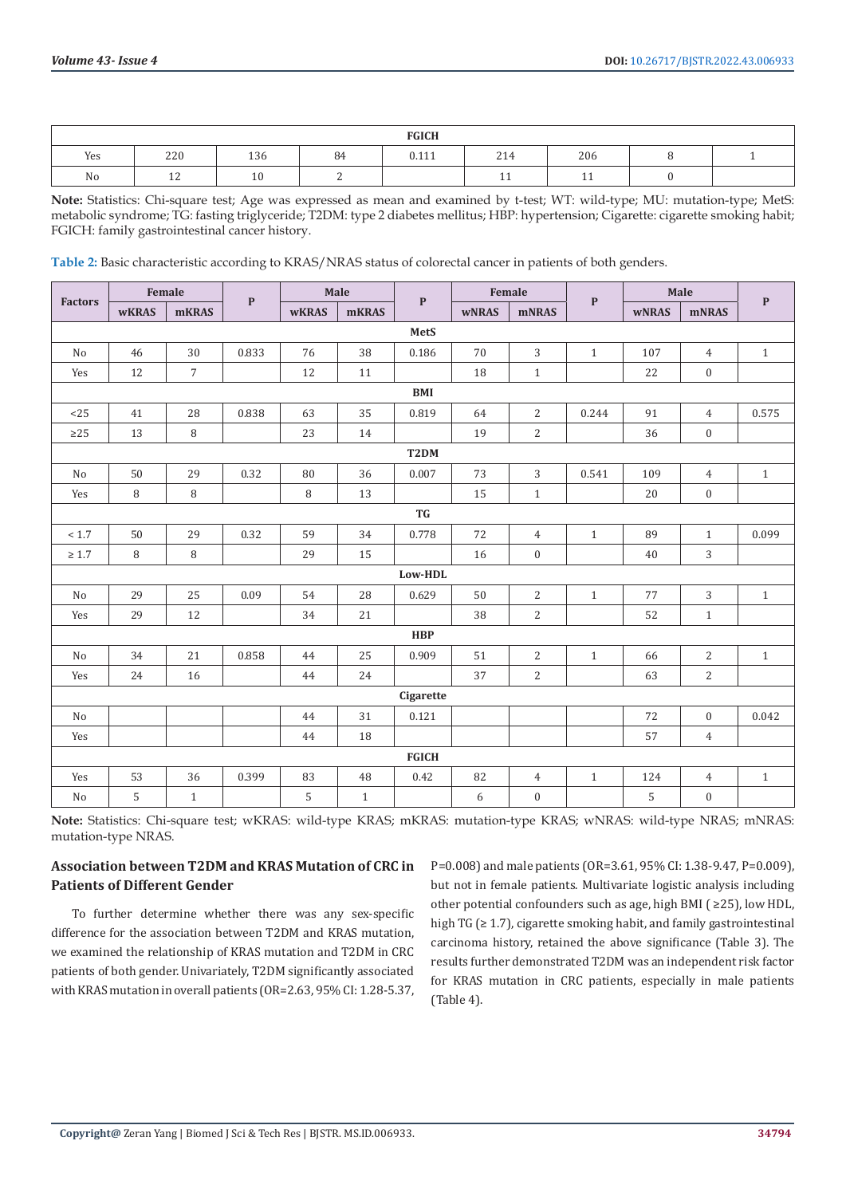| <b>FGICH</b> |         |     |    |                |     |     |  |  |  |  |
|--------------|---------|-----|----|----------------|-----|-----|--|--|--|--|
| Yes          | 220     | 136 | 84 | 0.111<br>0.TTT | 214 | 206 |  |  |  |  |
| No           | 12<br>ᆠ | 10  | -  |                |     |     |  |  |  |  |

**Note:** Statistics: Chi-square test; Age was expressed as mean and examined by t-test; WT: wild-type; MU: mutation-type; MetS: metabolic syndrome; TG: fasting triglyceride; T2DM: type 2 diabetes mellitus; HBP: hypertension; Cigarette: cigarette smoking habit; FGICH: family gastrointestinal cancer history.

**Table 2:** Basic characteristic according to KRAS/NRAS status of colorectal cancer in patients of both genders.

| <b>Factors</b> |              | Female         |           |              | Male         | $\mathbf{P}$           |              | Female           |              | Male<br>$\mathbf{P}$ |                  | $\mathbf P$  |
|----------------|--------------|----------------|-----------|--------------|--------------|------------------------|--------------|------------------|--------------|----------------------|------------------|--------------|
|                | <b>wKRAS</b> | <b>mKRAS</b>   | ${\bf P}$ | <b>wKRAS</b> | <b>mKRAS</b> |                        | <b>wNRAS</b> | <b>mNRAS</b>     |              | <b>wNRAS</b>         | <b>mNRAS</b>     |              |
| MetS           |              |                |           |              |              |                        |              |                  |              |                      |                  |              |
| No             | 46           | 30             | 0.833     | 76           | 38           | 0.186                  | 70           | 3                | $\mathbf{1}$ | 107                  | $\overline{4}$   | $\mathbf{1}$ |
| Yes            | 12           | $\overline{7}$ |           | 12           | 11           |                        | 18           | $1\,$            |              | 22                   | $\boldsymbol{0}$ |              |
| BMI            |              |                |           |              |              |                        |              |                  |              |                      |                  |              |
| <25            | 41           | 28             | 0.838     | 63           | 35           | 0.819                  | 64           | $\overline{2}$   | 0.244        | 91                   | $\overline{4}$   | 0.575        |
| $\geq$ 25      | 13           | $\, 8$         |           | 23           | 14           |                        | 19           | $\overline{c}$   |              | 36                   | $\boldsymbol{0}$ |              |
|                | T2DM         |                |           |              |              |                        |              |                  |              |                      |                  |              |
| No             | 50           | 29             | 0.32      | 80           | 36           | 0.007                  | 73           | 3                | 0.541        | 109                  | $\overline{4}$   | $\mathbf{1}$ |
| Yes            | $\, 8$       | 8              |           | 8            | 13           |                        | 15           | $\,1$            |              | 20                   | $\boldsymbol{0}$ |              |
|                |              |                |           |              |              | $\mathbf{T}\mathbf{G}$ |              |                  |              |                      |                  |              |
| < 1.7          | 50           | 29             | 0.32      | 59           | 34           | 0.778                  | 72           | $\overline{4}$   | $\mathbf{1}$ | 89                   | $\mathbf{1}$     | 0.099        |
| $\geq 1.7$     | $\, 8$       | $\, 8$         |           | 29           | 15           |                        | 16           | $\boldsymbol{0}$ |              | 40                   | $\mathbf{3}$     |              |
|                |              |                |           |              |              | Low-HDL                |              |                  |              |                      |                  |              |
| No             | 29           | 25             | 0.09      | 54           | 28           | 0.629                  | 50           | $\overline{2}$   | $\mathbf{1}$ | 77                   | 3                | $\mathbf{1}$ |
| Yes            | 29           | 12             |           | 34           | 21           |                        | 38           | $\overline{c}$   |              | 52                   | $\mathbf{1}$     |              |
|                |              |                |           |              |              | <b>HBP</b>             |              |                  |              |                      |                  |              |
| No             | 34           | 21             | 0.858     | 44           | 25           | 0.909                  | 51           | $\overline{c}$   | $\mathbf{1}$ | 66                   | $\overline{c}$   | $\mathbf{1}$ |
| Yes            | 24           | 16             |           | 44           | 24           |                        | 37           | $\overline{c}$   |              | 63                   | 2                |              |
|                |              |                |           |              |              | Cigarette              |              |                  |              |                      |                  |              |
| N <sub>o</sub> |              |                |           | 44           | 31           | 0.121                  |              |                  |              | 72                   | $\mathbf{0}$     | 0.042        |
| Yes            |              |                |           | 44           | 18           |                        |              |                  |              | 57                   | $\overline{4}$   |              |
|                |              |                |           |              |              | <b>FGICH</b>           |              |                  |              |                      |                  |              |
| Yes            | 53           | 36             | 0.399     | 83           | 48           | 0.42                   | 82           | $\overline{4}$   | $\mathbf{1}$ | 124                  | $\overline{4}$   | $\mathbf{1}$ |
| $\rm No$       | 5            | $\mathbf{1}$   |           | 5            | $\,1\,$      |                        | 6            | $\mathbf{0}$     |              | 5                    | $\boldsymbol{0}$ |              |

**Note:** Statistics: Chi-square test; wKRAS: wild-type KRAS; mKRAS: mutation-type KRAS; wNRAS: wild-type NRAS; mNRAS: mutation-type NRAS.

# **Association between T2DM and KRAS Mutation of CRC in Patients of Different Gender**

To further determine whether there was any sex-specific difference for the association between T2DM and KRAS mutation, we examined the relationship of KRAS mutation and T2DM in CRC patients of both gender. Univariately, T2DM significantly associated with KRAS mutation in overall patients (OR=2.63, 95% CI: 1.28-5.37,

P=0.008) and male patients (OR=3.61, 95% CI: 1.38-9.47, P=0.009), but not in female patients. Multivariate logistic analysis including other potential confounders such as age, high BMI ( ≥25), low HDL, high TG ( $\geq$  1.7), cigarette smoking habit, and family gastrointestinal carcinoma history, retained the above significance (Table 3). The results further demonstrated T2DM was an independent risk factor for KRAS mutation in CRC patients, especially in male patients (Table 4).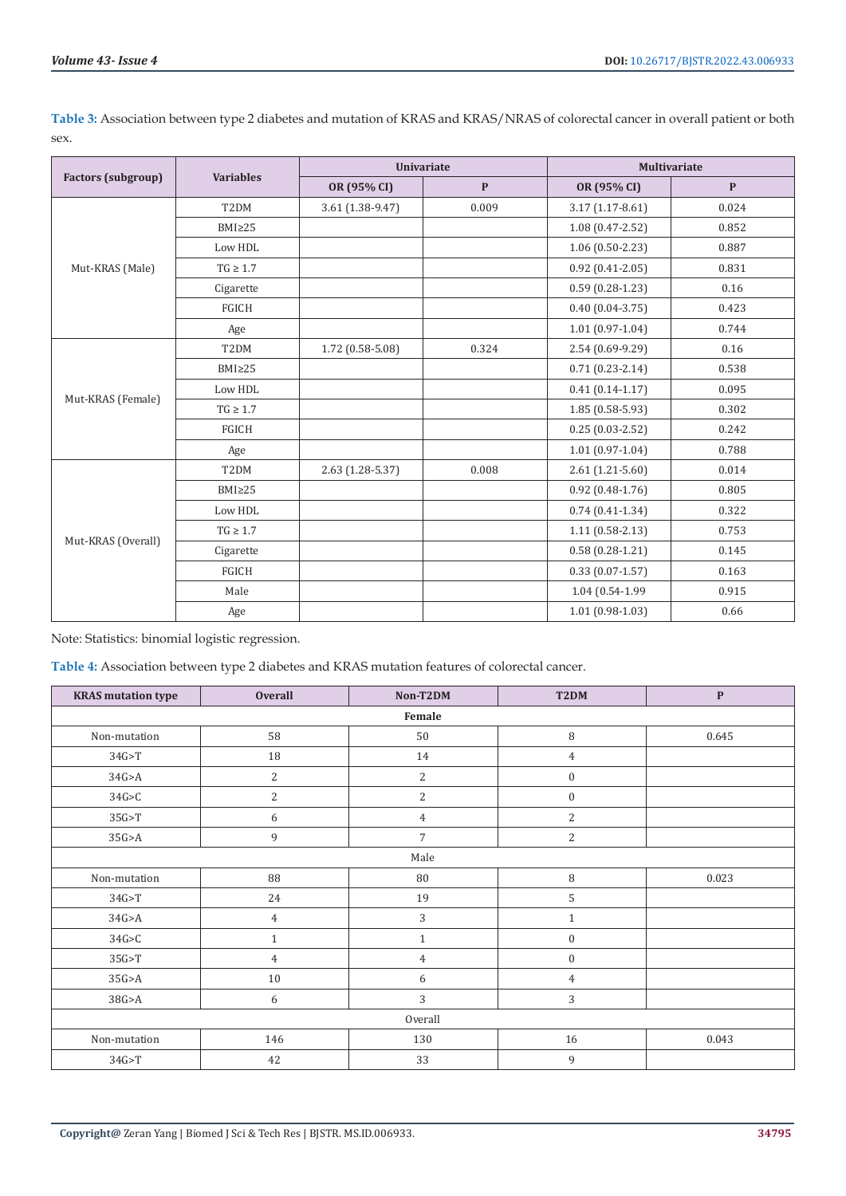|                           | <b>Variables</b> | <b>Univariate</b> |              | <b>Multivariate</b> |              |  |
|---------------------------|------------------|-------------------|--------------|---------------------|--------------|--|
| <b>Factors (subgroup)</b> |                  | OR (95% CI)       | $\mathbf{P}$ | OR (95% CI)         | $\mathbf{P}$ |  |
|                           | T2DM             | 3.61 (1.38-9.47)  | 0.009        | $3.17(1.17-8.61)$   | 0.024        |  |
|                           | $BMI \geq 25$    |                   |              | $1.08(0.47 - 2.52)$ | 0.852        |  |
|                           | Low HDL          |                   |              | $1.06(0.50-2.23)$   | 0.887        |  |
| Mut-KRAS (Male)           | $TG \geq 1.7$    |                   |              | $0.92(0.41 - 2.05)$ | 0.831        |  |
|                           | Cigarette        |                   |              | $0.59(0.28-1.23)$   | 0.16         |  |
|                           | <b>FGICH</b>     |                   |              | $0.40(0.04-3.75)$   | 0.423        |  |
|                           | Age              |                   |              | $1.01(0.97-1.04)$   | 0.744        |  |
|                           | T2DM             | 1.72 (0.58-5.08)  | 0.324        | 2.54 (0.69-9.29)    | 0.16         |  |
|                           | $BMI \geq 25$    |                   |              | $0.71(0.23 - 2.14)$ | 0.538        |  |
|                           | Low HDL          |                   |              | $0.41(0.14-1.17)$   | 0.095        |  |
| Mut-KRAS (Female)         | $TG \geq 1.7$    |                   |              | $1.85(0.58-5.93)$   | 0.302        |  |
|                           | <b>FGICH</b>     |                   |              | $0.25(0.03 - 2.52)$ | 0.242        |  |
|                           | Age              |                   |              | $1.01(0.97-1.04)$   | 0.788        |  |
|                           | T2DM             | 2.63 (1.28-5.37)  | 0.008        | $2.61(1.21-5.60)$   | 0.014        |  |
|                           | $BMI \geq 25$    |                   |              | $0.92(0.48-1.76)$   | 0.805        |  |
|                           | Low HDL          |                   |              | $0.74(0.41-1.34)$   | 0.322        |  |
| Mut-KRAS (Overall)        | $TG \geq 1.7$    |                   |              | $1.11(0.58-2.13)$   | 0.753        |  |
|                           | Cigarette        |                   |              | $0.58(0.28-1.21)$   | 0.145        |  |
|                           | <b>FGICH</b>     |                   |              | $0.33(0.07-1.57)$   | 0.163        |  |
|                           | Male             |                   |              | 1.04 (0.54-1.99)    | 0.915        |  |
|                           | Age              |                   |              | $1.01(0.98-1.03)$   | 0.66         |  |

**Table 3:** Association between type 2 diabetes and mutation of KRAS and KRAS/NRAS of colorectal cancer in overall patient or both sex.

Note: Statistics: binomial logistic regression.

**Table 4:** Association between type 2 diabetes and KRAS mutation features of colorectal cancer.

| <b>KRAS</b> mutation type | <b>Overall</b> | Non-T2DM       | T2DM             | $\mathbf P$ |  |  |  |  |  |  |
|---------------------------|----------------|----------------|------------------|-------------|--|--|--|--|--|--|
| Female                    |                |                |                  |             |  |  |  |  |  |  |
| Non-mutation              | 58             | 50             | $\, 8$           | 0.645       |  |  |  |  |  |  |
| 34G > T                   | 18             | 14             | $\overline{4}$   |             |  |  |  |  |  |  |
| 34G > A                   | $\mathbf{2}$   | $\overline{2}$ | $\boldsymbol{0}$ |             |  |  |  |  |  |  |
| 34G > C                   | $\sqrt{2}$     | $\overline{2}$ | $\boldsymbol{0}$ |             |  |  |  |  |  |  |
| 35G > T                   | 6              | $\overline{4}$ | $\sqrt{2}$       |             |  |  |  |  |  |  |
| 35G > A                   | 9              | $\overline{7}$ | $\overline{2}$   |             |  |  |  |  |  |  |
|                           | Male           |                |                  |             |  |  |  |  |  |  |
| Non-mutation              | 88             | 80             | $\, 8$           | 0.023       |  |  |  |  |  |  |
| 34G > T                   | 24             | 19             | $\mathsf S$      |             |  |  |  |  |  |  |
| 34G > A                   | $\,4\,$        | 3              | $1\,$            |             |  |  |  |  |  |  |
| 34G > C                   | $1\,$          | $\mathbf{1}$   | $\boldsymbol{0}$ |             |  |  |  |  |  |  |
| 35G > T                   | 4              | 4              | $\boldsymbol{0}$ |             |  |  |  |  |  |  |
| 35G > A                   | $10$           | 6              | $\overline{4}$   |             |  |  |  |  |  |  |
| 38G > A                   | 6              | 3              | 3                |             |  |  |  |  |  |  |
|                           | Overall        |                |                  |             |  |  |  |  |  |  |
| Non-mutation              | 146            | 130            | 16               | 0.043       |  |  |  |  |  |  |
| 34G > T                   | 42             | 33             | 9                |             |  |  |  |  |  |  |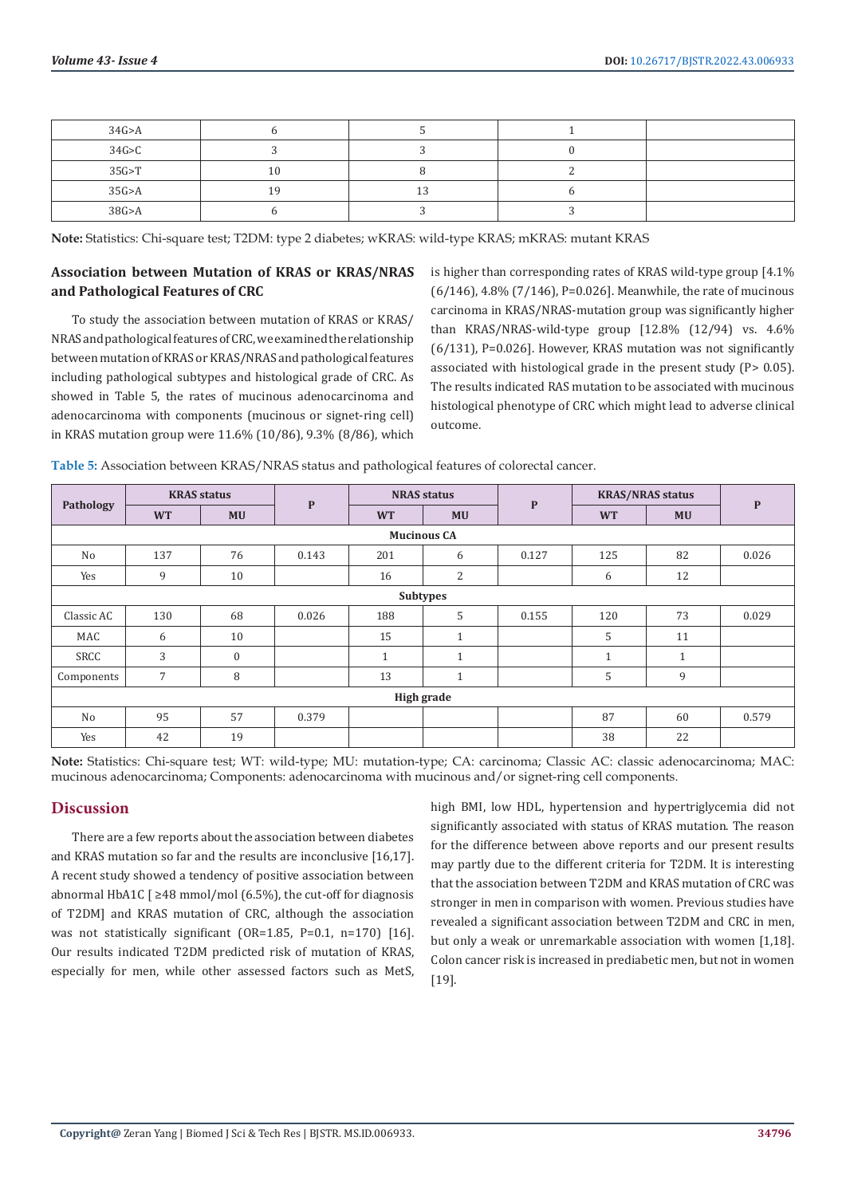| 34G > A |    |  |  |
|---------|----|--|--|
| 34G > C |    |  |  |
| 35G>T   | 10 |  |  |
| 35G > A | 19 |  |  |
| 38G > A |    |  |  |

**Note:** Statistics: Chi-square test; T2DM: type 2 diabetes; wKRAS: wild-type KRAS; mKRAS: mutant KRAS

# **Association between Mutation of KRAS or KRAS/NRAS and Pathological Features of CRC**

To study the association between mutation of KRAS or KRAS/ NRAS and pathological features of CRC, we examined the relationship between mutation of KRAS or KRAS/NRAS and pathological features including pathological subtypes and histological grade of CRC. As showed in Table 5, the rates of mucinous adenocarcinoma and adenocarcinoma with components (mucinous or signet-ring cell) in KRAS mutation group were 11.6% (10/86), 9.3% (8/86), which is higher than corresponding rates of KRAS wild-type group [4.1% (6/146), 4.8% (7/146), P=0.026]. Meanwhile, the rate of mucinous carcinoma in KRAS/NRAS-mutation group was significantly higher than KRAS/NRAS-wild-type group [12.8% (12/94) vs. 4.6% (6/131), P=0.026]. However, KRAS mutation was not significantly associated with histological grade in the present study (P> 0.05). The results indicated RAS mutation to be associated with mucinous histological phenotype of CRC which might lead to adverse clinical outcome.

**Table 5:** Association between KRAS/NRAS status and pathological features of colorectal cancer.

| Pathology          |                 | <b>KRAS</b> status | $\mathbf{P}$ |              | <b>NRAS status</b>   | $\mathbf{P}$ |           | <b>KRAS/NRAS status</b> | $\mathbf{P}$ |  |
|--------------------|-----------------|--------------------|--------------|--------------|----------------------|--------------|-----------|-------------------------|--------------|--|
|                    | <b>WT</b>       | <b>MU</b>          |              | <b>WT</b>    | <b>MU</b>            |              | <b>WT</b> | <b>MU</b>               |              |  |
| <b>Mucinous CA</b> |                 |                    |              |              |                      |              |           |                         |              |  |
| No                 | 137             | 76                 | 0.143        | 201          | 6                    | 0.127        | 125       | 82                      | 0.026        |  |
| Yes                | 9               | 10                 |              | 16           | 2                    |              | 6         | 12                      |              |  |
|                    | <b>Subtypes</b> |                    |              |              |                      |              |           |                         |              |  |
| Classic AC         | 130             | 68                 | 0.026        | 188          | 5                    | 0.155        | 120       | 73                      | 0.029        |  |
| MAC                | 6               | 10                 |              | 15           | $\overline{1}$<br>Ŧ. |              | 5         | 11                      |              |  |
| <b>SRCC</b>        | 3               | $\mathbf{0}$       |              | $\mathbf{1}$ | $\mathbf{1}$         |              | 1         | $\mathbf{1}$            |              |  |
| Components         | 7               | 8                  |              | 13           | $\overline{1}$<br>т  |              | 5         | 9                       |              |  |
| <b>High grade</b>  |                 |                    |              |              |                      |              |           |                         |              |  |
| N <sub>o</sub>     | 95              | 57                 | 0.379        |              |                      |              | 87        | 60                      | 0.579        |  |
| Yes                | 42              | 19                 |              |              |                      |              | 38        | 22                      |              |  |

**Note:** Statistics: Chi-square test; WT: wild-type; MU: mutation-type; CA: carcinoma; Classic AC: classic adenocarcinoma; MAC: mucinous adenocarcinoma; Components: adenocarcinoma with mucinous and/or signet-ring cell components.

# **Discussion**

There are a few reports about the association between diabetes and KRAS mutation so far and the results are inconclusive [16,17]. A recent study showed a tendency of positive association between abnormal HbA1C  $\lceil 248 \text{ mmol/mol} \rceil (6.5\%)$ , the cut-off for diagnosis of T2DM] and KRAS mutation of CRC, although the association was not statistically significant (OR=1.85, P=0.1, n=170) [16]. Our results indicated T2DM predicted risk of mutation of KRAS, especially for men, while other assessed factors such as MetS, high BMI, low HDL, hypertension and hypertriglycemia did not significantly associated with status of KRAS mutation. The reason for the difference between above reports and our present results may partly due to the different criteria for T2DM. It is interesting that the association between T2DM and KRAS mutation of CRC was stronger in men in comparison with women. Previous studies have revealed a significant association between T2DM and CRC in men, but only a weak or unremarkable association with women [1,18]. Colon cancer risk is increased in prediabetic men, but not in women [19].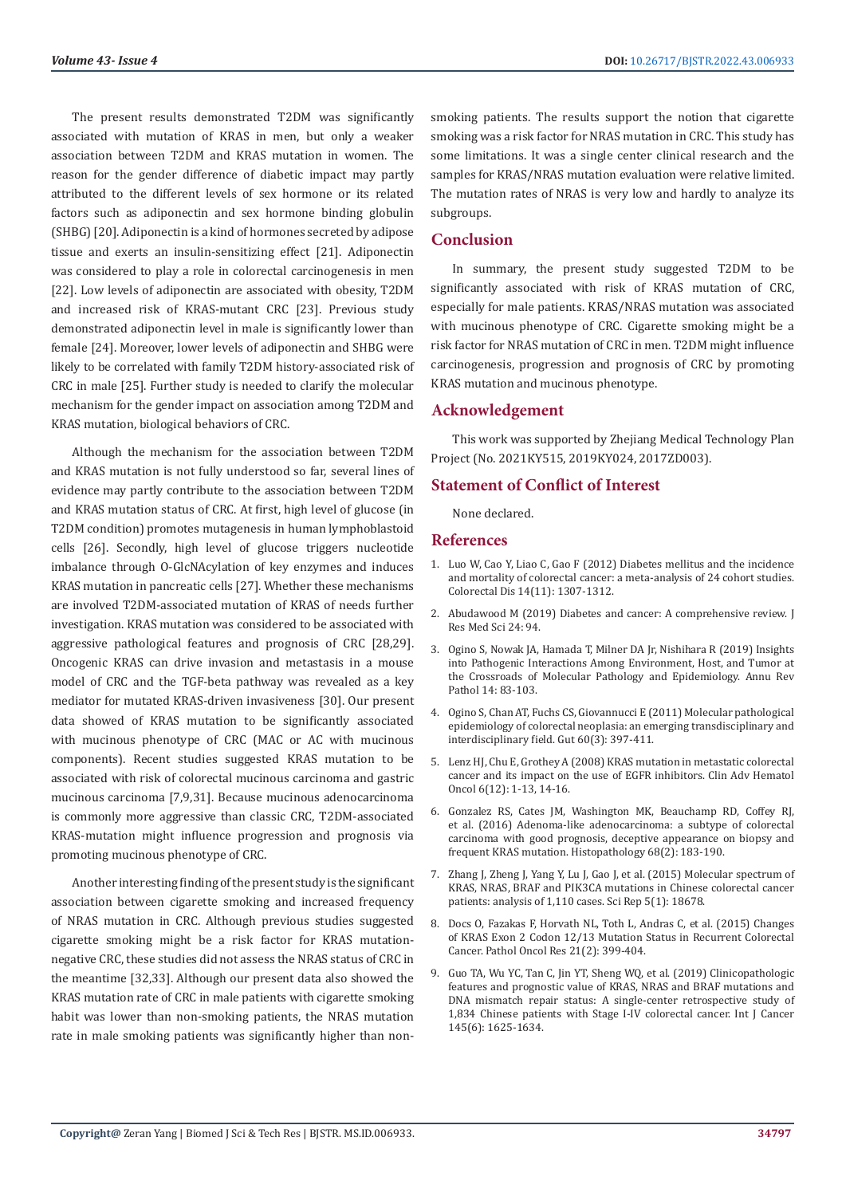The present results demonstrated T2DM was significantly associated with mutation of KRAS in men, but only a weaker association between T2DM and KRAS mutation in women. The reason for the gender difference of diabetic impact may partly attributed to the different levels of sex hormone or its related factors such as adiponectin and sex hormone binding globulin (SHBG) [20]. Adiponectin is a kind of hormones secreted by adipose tissue and exerts an insulin-sensitizing effect [21]. Adiponectin was considered to play a role in colorectal carcinogenesis in men [22]. Low levels of adiponectin are associated with obesity, T2DM and increased risk of KRAS-mutant CRC [23]. Previous study demonstrated adiponectin level in male is significantly lower than female [24]. Moreover, lower levels of adiponectin and SHBG were likely to be correlated with family T2DM history-associated risk of CRC in male [25]. Further study is needed to clarify the molecular mechanism for the gender impact on association among T2DM and KRAS mutation, biological behaviors of CRC.

Although the mechanism for the association between T2DM and KRAS mutation is not fully understood so far, several lines of evidence may partly contribute to the association between T2DM and KRAS mutation status of CRC. At first, high level of glucose (in T2DM condition) promotes mutagenesis in human lymphoblastoid cells [26]. Secondly, high level of glucose triggers nucleotide imbalance through O-GlcNAcylation of key enzymes and induces KRAS mutation in pancreatic cells [27]. Whether these mechanisms are involved T2DM-associated mutation of KRAS of needs further investigation. KRAS mutation was considered to be associated with aggressive pathological features and prognosis of CRC [28,29]. Oncogenic KRAS can drive invasion and metastasis in a mouse model of CRC and the TGF-beta pathway was revealed as a key mediator for mutated KRAS-driven invasiveness [30]. Our present data showed of KRAS mutation to be significantly associated with mucinous phenotype of CRC (MAC or AC with mucinous components). Recent studies suggested KRAS mutation to be associated with risk of colorectal mucinous carcinoma and gastric mucinous carcinoma [7,9,31]. Because mucinous adenocarcinoma is commonly more aggressive than classic CRC, T2DM-associated KRAS-mutation might influence progression and prognosis via promoting mucinous phenotype of CRC.

Another interesting finding of the present study is the significant association between cigarette smoking and increased frequency of NRAS mutation in CRC. Although previous studies suggested cigarette smoking might be a risk factor for KRAS mutationnegative CRC, these studies did not assess the NRAS status of CRC in the meantime [32,33]. Although our present data also showed the KRAS mutation rate of CRC in male patients with cigarette smoking habit was lower than non-smoking patients, the NRAS mutation rate in male smoking patients was significantly higher than nonsmoking patients. The results support the notion that cigarette smoking was a risk factor for NRAS mutation in CRC. This study has some limitations. It was a single center clinical research and the samples for KRAS/NRAS mutation evaluation were relative limited. The mutation rates of NRAS is very low and hardly to analyze its subgroups.

# **Conclusion**

In summary, the present study suggested T2DM to be significantly associated with risk of KRAS mutation of CRC, especially for male patients. KRAS/NRAS mutation was associated with mucinous phenotype of CRC. Cigarette smoking might be a risk factor for NRAS mutation of CRC in men. T2DM might influence carcinogenesis, progression and prognosis of CRC by promoting KRAS mutation and mucinous phenotype.

# **Acknowledgement**

This work was supported by Zhejiang Medical Technology Plan Project (No. 2021KY515, 2019KY024, 2017ZD003).

# **Statement of Conflict of Interest**

None declared.

#### **References**

- 1. [Luo W, Cao Y, Liao C, Gao F \(2012\) Diabetes mellitus and the incidence](https://pubmed.ncbi.nlm.nih.gov/23046351/) [and mortality of colorectal cancer: a meta-analysis of 24 cohort studies.](https://pubmed.ncbi.nlm.nih.gov/23046351/) [Colorectal Dis 14\(11\): 1307-1312.](https://pubmed.ncbi.nlm.nih.gov/23046351/)
- 2. [Abudawood M \(2019\) Diabetes and cancer: A comprehensive review. J](https://pubmed.ncbi.nlm.nih.gov/31741666/) [Res Med Sci 24: 94.](https://pubmed.ncbi.nlm.nih.gov/31741666/)
- 3. [Ogino S, Nowak JA, Hamada T, Milner DA Jr, Nishihara R \(2019\) Insights](https://pubmed.ncbi.nlm.nih.gov/30125150/) [into Pathogenic Interactions Among Environment, Host, and Tumor at](https://pubmed.ncbi.nlm.nih.gov/30125150/) [the Crossroads of Molecular Pathology and Epidemiology. Annu Rev](https://pubmed.ncbi.nlm.nih.gov/30125150/) [Pathol 14: 83-103.](https://pubmed.ncbi.nlm.nih.gov/30125150/)
- 4. [Ogino S, Chan AT, Fuchs CS, Giovannucci E \(2011\) Molecular pathological](https://www.researchgate.net/publication/47635502_Molecular_Pathologic_Epidemiology_of_Colorectal_Neoplasia_An_Emerging_Transdisciplinary_and_Interdisciplinary_Field) [epidemiology of colorectal neoplasia: an emerging transdisciplinary and](https://www.researchgate.net/publication/47635502_Molecular_Pathologic_Epidemiology_of_Colorectal_Neoplasia_An_Emerging_Transdisciplinary_and_Interdisciplinary_Field) [interdisciplinary field. Gut 60\(3\): 397-411.](https://www.researchgate.net/publication/47635502_Molecular_Pathologic_Epidemiology_of_Colorectal_Neoplasia_An_Emerging_Transdisciplinary_and_Interdisciplinary_Field)
- 5. [Lenz HJ, Chu E, Grothey A \(2008\) KRAS mutation in metastatic colorectal](https://pubmed.ncbi.nlm.nih.gov/19378369/) [cancer and its impact on the use of EGFR inhibitors. Clin Adv Hematol](https://pubmed.ncbi.nlm.nih.gov/19378369/) [Oncol 6\(12\): 1-13, 14-16.](https://pubmed.ncbi.nlm.nih.gov/19378369/)
- 6. [Gonzalez RS, Cates JM, Washington MK, Beauchamp RD, Coffey RJ,](https://pubmed.ncbi.nlm.nih.gov/25913616/) [et al. \(2016\) Adenoma-like adenocarcinoma: a subtype of colorectal](https://pubmed.ncbi.nlm.nih.gov/25913616/) [carcinoma with good prognosis, deceptive appearance on biopsy and](https://pubmed.ncbi.nlm.nih.gov/25913616/) [frequent KRAS mutation. Histopathology 68\(2\): 183-190.](https://pubmed.ncbi.nlm.nih.gov/25913616/)
- 7. [Zhang J, Zheng J, Yang Y, Lu J, Gao J, et al. \(2015\) Molecular spectrum of](https://www.researchgate.net/publication/287974951_Molecular_spectrum_of_KRAS_NRAS_BRAF_and_PIK3CA_mutations_in_Chinese_colorectal_cancer_patients_analysis_of_1110_cases) [KRAS, NRAS, BRAF and PIK3CA mutations in Chinese colorectal cancer](https://www.researchgate.net/publication/287974951_Molecular_spectrum_of_KRAS_NRAS_BRAF_and_PIK3CA_mutations_in_Chinese_colorectal_cancer_patients_analysis_of_1110_cases) [patients: analysis of 1,110 cases. Sci Rep 5\(1\): 18678.](https://www.researchgate.net/publication/287974951_Molecular_spectrum_of_KRAS_NRAS_BRAF_and_PIK3CA_mutations_in_Chinese_colorectal_cancer_patients_analysis_of_1110_cases)
- 8. [Docs O, Fazakas F, Horvath NL, Toth L, Andras C, et al. \(2015\) Changes](https://pubmed.ncbi.nlm.nih.gov/25248721/) [of KRAS Exon 2 Codon 12/13 Mutation Status in Recurrent Colorectal](https://pubmed.ncbi.nlm.nih.gov/25248721/) [Cancer. Pathol Oncol Res 21\(2\): 399-404.](https://pubmed.ncbi.nlm.nih.gov/25248721/)
- 9. [Guo TA, Wu YC, Tan C, Jin YT, Sheng WQ, et al. \(2019\) Clinicopathologic](https://pubmed.ncbi.nlm.nih.gov/31162857/) [features and prognostic value of KRAS, NRAS and BRAF mutations and](https://pubmed.ncbi.nlm.nih.gov/31162857/) [DNA mismatch repair status: A single-center retrospective study of](https://pubmed.ncbi.nlm.nih.gov/31162857/) [1,834 Chinese patients with Stage I-IV colorectal cancer. Int J Cancer](https://pubmed.ncbi.nlm.nih.gov/31162857/) [145\(6\): 1625-1634.](https://pubmed.ncbi.nlm.nih.gov/31162857/)